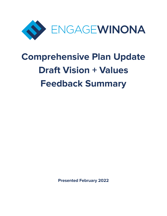

# **Comprehensive Plan Update Draft Vision + Values Feedback Summary**

**Presented February 2022**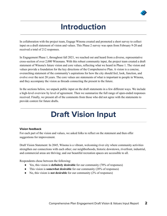

### **Introduction**

In collaboration with the project team, Engage Winona created and promoted a short survey to collect input on a draft statement of vision and values. This Phase 2 survey was open from February 9-20 and received a total of 212 responses.

In Engagement Phase 1, throughout fall 2021, we reached out and heard from a diverse, representative cross-section of over 2,000 Winonans. With this robust community input, the project team created a draft statement of Winona's future vision and core values, reflecting what we heard in Phase 1. The vision and values provide a foundation for the key directions of the Comprehensive Plan. A vision is a concise, overarching statement of the community's aspirations for how the city should feel, look, function, and evolve over the next 20 years. The core values are statements of what is important to people in Winona, and they accompany the vision as threads connecting the present to the future.

In the sections below, we unpack public input on the draft statements in a few different ways. We include a high-level overview by level of agreement. Then we summarize the full range of open-ended responses received. Finally, we present all of the comments from those who did not agree with the statements to provide context for future drafts.

## **Draft Vision Input**

### **Vision feedback**

For each part of the vision and values, we asked folks to reflect on the statement and then offer suggestions for improvement.

Draft Vision Statement: In 2045, Winona is a vibrant, welcoming river city where community activities strengthen our connections with each other; our neighborhoods, historic downtown, riverfront, industrial, and commercial areas are thriving; and our beautiful recreation spaces are accessible to all.

Respondents chose between the following:

- Yes, this vision is **definitely desirable** for our community (70% of responses)
- This vision is **somewhat desirable** for our community (28% of responses)
- No, this vision is **not desirable** for our community (2% of responses)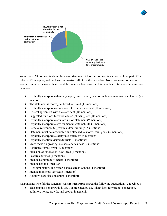



We received 94 comments about the vision statement. All of the comments are available as part of the release of this report, and we have summarized all of the themes below. Note that some comments touched on more than one theme, and the counts below show the total number of times each theme was mentioned.

- Explicitly incorporate diversity, equity, accessibility, and/or inclusion into vision statement (25 mentions)
- The statement is too vague, broad, or timid (11 mentions)
- Explicitly incorporate education into vision statement (10 mentions)
- General agreement with the statement (10 mentions)
- Suggested revisions for word choice, phrasing, etc (10 mentions)
- Explicitly incorporate arts into vision statement (9 mentions)
- Explicitly incorporate environmental sustainability (7 mentions)
- Remove references to growth and/or buildings (5 mentions)
- Statement must be measurable and attached to shorter-term goals (4 mentions)
- Explicitly incorporate safety into statement (4 mentions)
- $\bullet$  Explicitly mention visitors/tourists (3 mentions)
- More focus on growing business and tax base (2 mentions)
- Reference "small town" (2 mentions)
- Inclusion of innovation, new ideas (1 mention)
- Feature churches (1 mention)
- Include a community center (1 mention)
- Include health (1 mention)
- Highlight history and historic areas across Winona (1 mention)
- Include municipal services (1 mention)
- Acknowledge size constraint (1 mention)

Respondents who felt the statement was **not desirable** shared the following suggestions (2 received):

This emphasis on growth, is NOT appreciated by all. I don't look forward to: congestion, pollution, noise, crowds, and growth in general.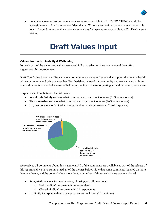

● I read the above as just our recreation spaces are accessible to all. EVERYTHING should be accessible to all. And I am not confident that all Winona's recreation spaces are even accessible to all. I would rather see this vision statement say "all spaces are accessible to all". That's a great vision.

### **Draft Values Input**

### **Values feedback: Livability & Well-being**

For each part of the vision and values, we asked folks to reflect on the statement and then offer suggestions for improvement.

Draft Core Value Statement: We value our community services and events that support the holistic health of the community and bring us together. We cherish our close-knit community and work toward a future where all who live here feel a sense of belonging, safety, and ease of getting around in the way we choose.

Respondents chose between the following:

- Yes, this **definitely reflects** what is important to me about Winona (71% of responses)
- This **somewhat reflects** what is important to me about Winona (26% of responses)
- No, this **does not reflect** what is important to me about Winona (2% of responses)



We received 51 comments about this statement. All of the comments are available as part of the release of this report, and we have summarized all of the themes below. Note that some comments touched on more than one theme, and the counts below show the total number of times each theme was mentioned.

- Suggested revisions for word choice, phrasing, etc (18 mentions)
	- Holistic didn't resonate with 6 respondents
	- Close-knit didn't resonate with 11 respondents
- Explicitly incorporate diversity, equity, and/or inclusion (10 mentions)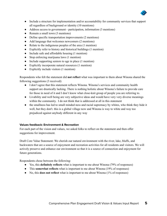

- Include a structure for implementation and/or accountability for community services that support all regardless of background or identity (10 mentions)
- Address access to government participation, information (3 mentions)
- Remain a small town (3 mentions)
- Define specific transportation improvements (2 mentions)
- Add language that welcomes newcomers (2 mentions)
- Relate to the indigenous peoples of the area (1 mention)
- Explicitly refer to history and historical buildings (1 mention)
- Include safe and affordable housing (1 mention)
- Stop enforcing marijuana laws (1 mention)
- Include supporting seniors to age in place (1 mention)
- Explicitly incorporate natural resources (1 mention)
- Explicitly include visitors (1 mention)

Respondents who felt the statement did **not reflect** what was important to them about Winona shared the following suggestions (3 received):

- I don't agree that this statement reflects Winona. Winona's services and community health support are drastically lacking. There is nothing holistic about Winona's failure to provide care for those in need of it and I don't know what close-knit group of people you are referring to.
- Livability and well being are very subjective ideas and would have very very diverse meanings within the community. I do not think that is addressed at all in this statement
- the smallness has led to small minded ness and racial supremacy by whites, who think they hide it well, but they don't. this is a global village now and Winona is way to white and way too prejudiced against anybody different in any way

### **Values feedback: Environment & Recreation**

For each part of the vision and values, we asked folks to reflect on the statement and then offer suggestions for improvement.

Draft Core Value Statement: We cherish our natural environment with the river, lake, bluffs, and backwaters that are a source of enjoyment and recreation activities for all residents and visitors. We will actively preserve and enhance our environment so that it is a source of connection and enjoyment for future generations.

Respondents chose between the following:

- Yes, this **definitely reflects** what is important to me about Winona (79% of responses)
- This **somewhat reflects** what is important to me about Winona (19% of responses)
- No, this **does not reflect** what is important to me about Winona (1% of responses)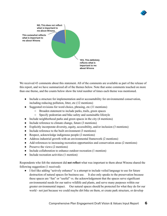



We received 43 comments about this statement. All of the comments are available as part of the release of this report, and we have summarized all of the themes below. Note that some comments touched on more than one theme, and the counts below show the total number of times each theme was mentioned.

- Include a structure for implementation and/or accountability for environmental conservation, including reducing pollution, litter, etc (12 mentions)
- Suggested revisions for word choice, phrasing, etc (11 mentions)
	- Broaden statement to include parks, trails, green spaces
	- Specify pedestrian and bike safety and sustainable lifestyle
- Include neighborhood parks and green spaces in the city (4 mentions)
- Include reference to climate change, future (3 mentions)
- Explicitly incorporate diversity, equity, accessibility, and/or inclusion (3 mentions)
- Include reference to the built environment (3 mentions)
- Respect, acknowledge indigenous people (2 mentions)
- Address industrial growth with an environmental framework (2 mentions)
- Add references to increasing recreation opportunities and conservation areas (2 mentions)
- Preserve the views  $(2 \text{ mentions})$
- Include collaboration to enhance outdoor recreation (1 mention)
- Include recreation activities (1 mention)

Respondents who felt the statement did **not reflect** what was important to them about Winona shared the following suggestion (1 received):

● I feel like adding "actively enhance" is a attempt to include veiled language to use for future destruction of natural spaces for business use. It also only speaks to the preservation because these spaces are "fun" or "useful" vs. the acknowledgement that the spaces serve significant environmental needs for our native wildlife and plants, and serve many purposes within our greater environmental impact. Our natural spaces should be protected for what they do for our world - not just because we could maybe dirt bike on them, or create park structure, or develop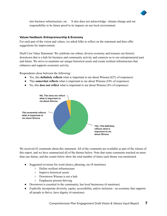

into business infrastructure, etc. It also does not acknowledge climate change and our responsibility to be future proof to its impacts on our local environment.

### **Values feedback: Entrepreneurship & Economy**

For each part of the vision and values, we asked folks to reflect on the statement and then offer suggestions for improvement.

Draft Core Value Statement: We celebrate our robust, diverse economy and treasure our historic downtown that is a hub for business and community activity and connects us to our entrepreneurial past and future. We strive to maintain our unique historical assets and create resilient infrastructure that enhances and supports economic activity.

Respondents chose between the following:

- Yes, this **definitely reflects** what is important to me about Winona (62% of responses)
- This **somewhat reflects** what is important to me about Winona (34% of responses)
- No, this **does not reflect** what is important to me about Winona (4% of responses)



We received 43 comments about this statement. All of the comments are available as part of the release of this report, and we have summarized all of the themes below. Note that some comments touched on more than one theme, and the counts below show the total number of times each theme was mentioned.

- Suggested revisions for word choice, phrasing, etc (8 mentions)
	- Define resilient infrastructure
	- Improve historical assets
	- Downtown Winona is not a hub
	- Emphasize present thriving
- Downtown is essential to the community, has local businesses (6 mentions)
- Explicitly incorporate diversity, equity, accessibility, and/or inclusion an economy that supports all people to thrive, have dignity (6 mentions)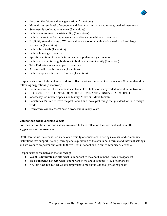

- Focus on the future and new generation (5 mentions)
- Maintain current level of economic and downtown activity no more growth (4 mentions)
- Statement is too broad or unclear (3 mentions)
- $\bullet$  Include environmental sustainability (2 mentions)
- Include a structure for implementation and/or accountability (1 mention)
- Explicitly state the value of Winona's diverse economy with a balance of small and large businesses (1 mention)
- Include bike trails (1 mention)
- Include housing (1 mention)
- Specific mention of manufacturing and arts philanthropy (1 mention)
- Include a vision for neighborhoods to build and create identity (1 mention)
- Take Red Wing as an example (1 mention)
- Affirm small local businesses (1 mention)
- Include explicit reference to tourism (1 mention)

Respondents who felt the statement did **not reflect** what was important to them about Winona shared the following suggestions (5 received):

- Be more specific. This statement also feels like it holds too many veiled individual motivations.
- NO DIVERSITY TO SPEAK OF, WHITE DOMINANT VERSUS REAL WORLD
- Waaaaaaay too much emphasis on history. Move on! Move forward!
- Sometimes it's time to leave the past behind and move past things that just don't work in today's world.
- Downtown Winona hasn't been a work hub in many years

### **Values feedback: Learning & Arts**

For each part of the vision and values, we asked folks to reflect on the statement and then offer suggestions for improvement.

Draft Core Value Statement: We value our diversity of educational offerings, events, and community institutions that support lifelong learning and exploration of the arts in both formal and informal settings, and we work to empower our youth to thrive both in school and in our community as a whole.

Respondents chose between the following:

- Yes, this **definitely reflects** what is important to me about Winona (66% of responses)
- This **somewhat reflects** what is important to me about Winona (31% of responses)
- No, this **does not reflect** what is important to me about Winona (3% of responses)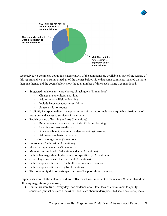



We received 45 comments about this statement. All of the comments are available as part of the release of this report, and we have summarized all of the themes below. Note that some comments touched on more than one theme, and the counts below show the total number of times each theme was mentioned.

- Suggested revisions for word choice, phrasing, etc (11 mentions)
	- Change arts to cultural activities
	- Add or remove lifelong learning
	- Include language about accessibility
	- Statement is not robust
- Explicitly incorporate diversity, equity, accessibility, and/or inclusion equitable distribution of resources and access to services (8 mentions)
- Revisit pairing of learning and arts (6 mentions)
	- Remove arts there are many kinds of lifelong learning
	- Learning and arts are distinct
	- Arts contribute to community identity, not just learning
	- Add more emphasis on the arts
- Expand or focus age range (5 mentions)
- Improve K-12 education  $(4 \text{ mentions})$
- Ideas for implementation (3 mentions)
- Maintain current level of education and arts (3 mentions)
- Include language about higher education specifically (2 mentions)
- General agreement with the statement (2 mentions)
- Include explicit reference to the built environment (1 mention)
- Include explicit reference to jobs (1 mention)
- The community did not participate and won't support this (1 mention)

Respondents who felt the statement did **not reflect** what was important to them about Winona shared the following suggestions (2 received):

• I wish this were true... every day I see evidence of our total lack of commitment to quality education (our schools are a mess), we don't care about underrepresented socio economic, racial,